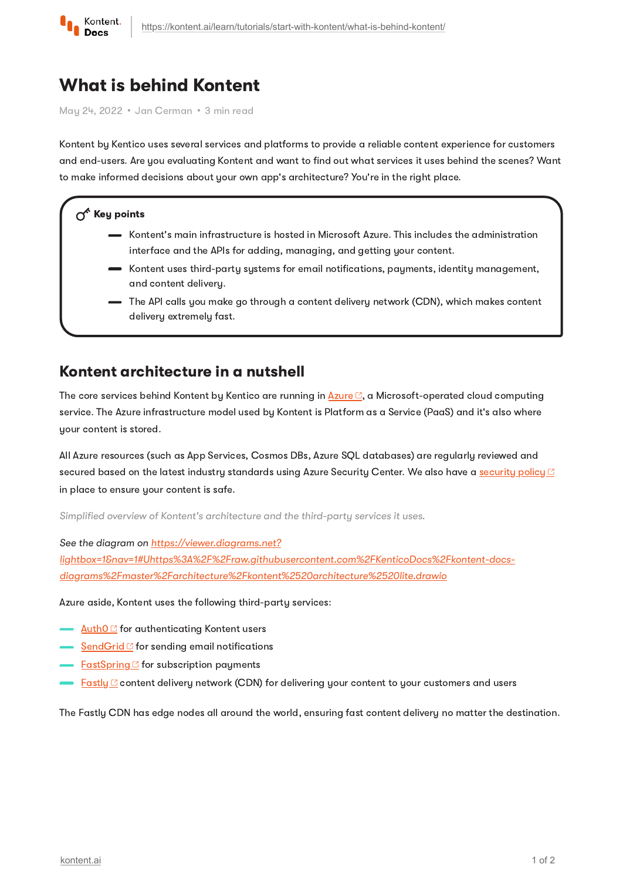

# What is behind Kontent

May 24, 2022 · Jan Cerman · 3 min read

Kontent by Kentico uses several services and platforms to provide a reliable content experience for customers and end-users. Are you evaluating Kontent and want to find out what services it uses behind the scenes? Want to make informed decisions about your own app's architecture? You're in the right place.

#### $\Lambda^k$  Key points

- $\bullet$  Kontent's main infrastructure is hosted in Microsoft Azure. This includes the administration interface and the APIs for adding, managing, and getting your content.
- Kontent uses third-party systems for email notifications, payments, identity management, and content delivery.
- The API calls you make go through a content delivery network (CDN), which makes content delivery extremely fast.

#### Kontent architecture in a nutshell

The core services behind Kontent by Kentico are running in  $\Delta z$ ure  $\mathbb{C}$ , a Microsoft-operated cloud computing service. The Azure infrastructure model used by Kontent is Platform as a Service (PaaS) and it's also where your content is stored.

All Azure resources (such as App Services, Cosmos DBs, Azure SQL databases) are regularly reviewed and secured based on the latest industry standards using Azure Security Center. We also have a [security](https://kontent.ai/security-policy/) policy **B** in place to ensure your content is safe.

Simplified overview of Kontent's architecture and the third-party services it uses.

See the diagram on https://viewer.diagrams.net?

[lightbox=1&nav=1#Uhttps%3A%2F%2Fraw.githubusercontent.com%2FKenticoDocs%2Fkontent-docs](https://viewer.diagrams.net/?lightbox=1&nav=1#Uhttps%3A%2F%2Fraw.githubusercontent.com%2FKenticoDocs%2Fkontent-docs-diagrams%2Fmaster%2Farchitecture%2Fkontent%2520architecture%2520lite.drawio)diagrams%2Fmaster%2Farchitecture%2Fkontent%2520architecture%2520lite.drawio

Azure aside, Kontent uses the following third-party services:

- <u>[Auth0](https://auth0.com/)<sup></sup> f</u>or authenticating Kontent users
- $\sqrt{\frac{SendGrid}{S}}$  $\sqrt{\frac{SendGrid}{S}}$  $\sqrt{\frac{SendGrid}{S}}$  for sending email notifications
- ∙ [FastSpring](https://fastspring.com/) for subscription payments
- $\blacktriangleright$   $\frac{\textsf{Fastly}\textcolor{black}{G}}{\textsf{Context}}$  $\frac{\textsf{Fastly}\textcolor{black}{G}}{\textsf{Context}}$  $\frac{\textsf{Fastly}\textcolor{black}{G}}{\textsf{Context}}$  content delivery network (CDN) for delivering your content to your customers and users

The Fastly CDN has edge nodes all around the world, ensuring fast content delivery no matter the destination.